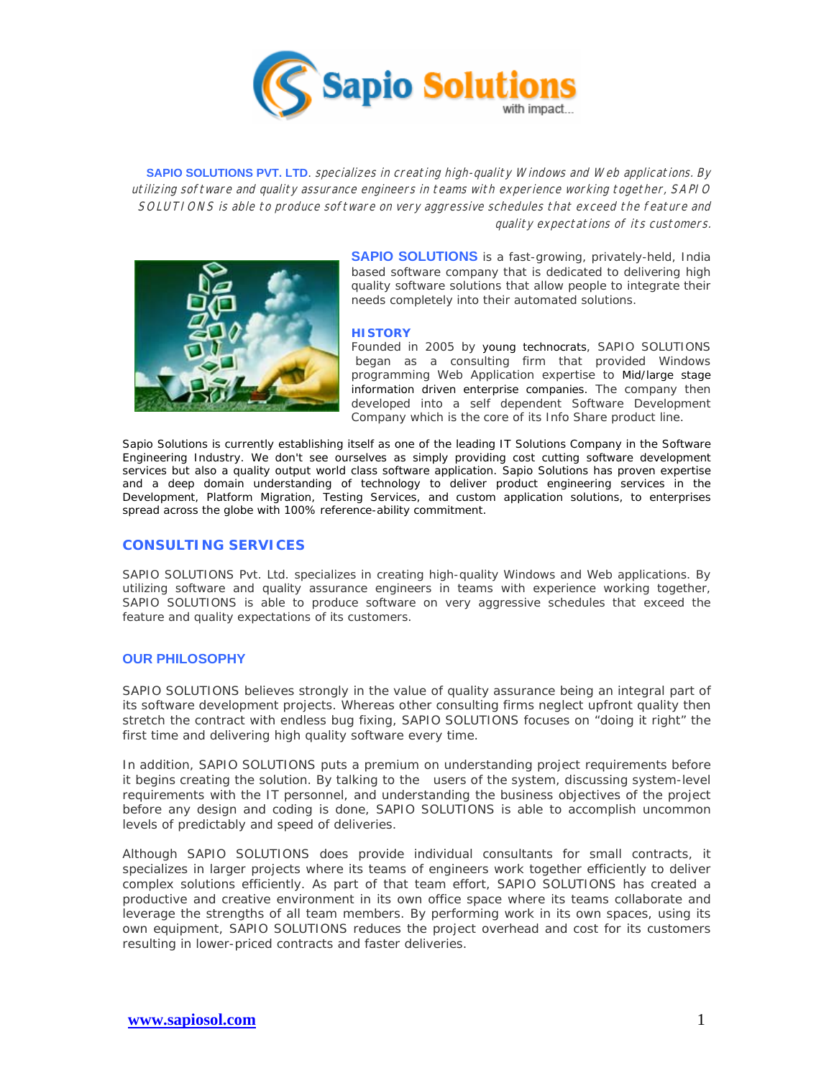

**SAPIO SOLUTIONS PVT. LTD.** specializes in creating high-quality Windows and Web applications. By utilizing software and quality assurance engineers in teams with experience working together, SAPIO SOLUTIONS is able to produce software on very aggressive schedules that exceed the feature and quality expectations of its customers.



**SAPIO SOLUTIONS** is a fast-growing, privately-held, India based software company that is dedicated to delivering high quality software solutions that allow people to integrate their needs completely into their automated solutions.

#### **HISTORY**

Founded in 2005 by young technocrats, SAPIO SOLUTIONS began as a consulting firm that provided Windows programming Web Application expertise to Mid/large stage information driven enterprise companies. The company then developed into a self dependent Software Development Company which is the core of its Info Share product line.

Sapio Solutions is currently establishing itself as one of the leading IT Solutions Company in the Software Engineering Industry. We don't see ourselves as simply providing cost cutting software development services but also a quality output world class software application. Sapio Solutions has proven expertise and a deep domain understanding of technology to deliver product engineering services in the Development, Platform Migration, Testing Services, and custom application solutions, to enterprises spread across the globe with 100% reference-ability commitment.

### **CONSULTING SERVICES**

SAPIO SOLUTIONS Pvt. Ltd. specializes in creating high-quality Windows and Web applications. By utilizing software and quality assurance engineers in teams with experience working together, SAPIO SOLUTIONS is able to produce software on very aggressive schedules that exceed the feature and quality expectations of its customers.

# **OUR PHILOSOPHY**

SAPIO SOLUTIONS believes strongly in the value of quality assurance being an integral part of its software development projects. Whereas other consulting firms neglect upfront quality then stretch the contract with endless bug fixing, SAPIO SOLUTIONS focuses on "doing it right" the first time and delivering high quality software every time.

In addition, SAPIO SOLUTIONS puts a premium on understanding project requirements before it begins creating the solution. By talking to the users of the system, discussing system-level requirements with the IT personnel, and understanding the business objectives of the project before any design and coding is done, SAPIO SOLUTIONS is able to accomplish uncommon levels of predictably and speed of deliveries.

Although SAPIO SOLUTIONS does provide individual consultants for small contracts, it specializes in larger projects where its teams of engineers work together efficiently to deliver complex solutions efficiently. As part of that team effort, SAPIO SOLUTIONS has created a productive and creative environment in its own office space where its teams collaborate and leverage the strengths of all team members. By performing work in its own spaces, using its own equipment, SAPIO SOLUTIONS reduces the project overhead and cost for its customers resulting in lower-priced contracts and faster deliveries.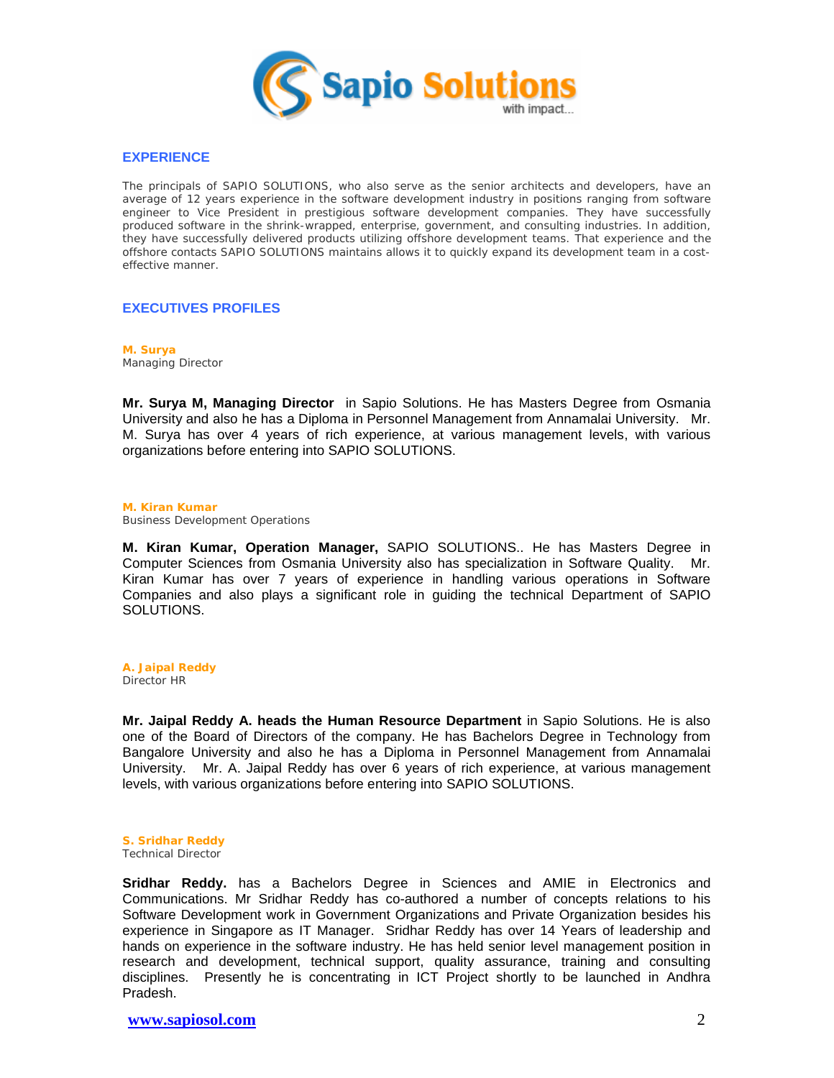

### **EXPERIENCE**

The principals of SAPIO SOLUTIONS, who also serve as the senior architects and developers, have an average of 12 years experience in the software development industry in positions ranging from software engineer to Vice President in prestigious software development companies. They have successfully produced software in the shrink-wrapped, enterprise, government, and consulting industries. In addition, they have successfully delivered products utilizing offshore development teams. That experience and the offshore contacts SAPIO SOLUTIONS maintains allows it to quickly expand its development team in a costeffective manner.

# **EXECUTIVES PROFILES**

**M. Surya** Managing Director

**Mr. Surya M, Managing Director** in Sapio Solutions. He has Masters Degree from Osmania University and also he has a Diploma in Personnel Management from Annamalai University. Mr. M. Surya has over 4 years of rich experience, at various management levels, with various organizations before entering into SAPIO SOLUTIONS.

#### **M. Kiran Kumar** Business Development Operations

**M. Kiran Kumar, Operation Manager,** SAPIO SOLUTIONS.. He has Masters Degree in Computer Sciences from Osmania University also has specialization in Software Quality. Mr. Kiran Kumar has over 7 years of experience in handling various operations in Software Companies and also plays a significant role in guiding the technical Department of SAPIO SOLUTIONS.

**A. Jaipal Reddy** Director HR

**Mr. Jaipal Reddy A. heads the Human Resource Department** in Sapio Solutions. He is also one of the Board of Directors of the company. He has Bachelors Degree in Technology from Bangalore University and also he has a Diploma in Personnel Management from Annamalai University. Mr. A. Jaipal Reddy has over 6 years of rich experience, at various management levels, with various organizations before entering into SAPIO SOLUTIONS.

# **S. Sridhar Reddy**

Technical Director

**Sridhar Reddy.** has a Bachelors Degree in Sciences and AMIE in Electronics and Communications. Mr Sridhar Reddy has co-authored a number of concepts relations to his Software Development work in Government Organizations and Private Organization besides his experience in Singapore as IT Manager. Sridhar Reddy has over 14 Years of leadership and hands on experience in the software industry. He has held senior level management position in research and development, technical support, quality assurance, training and consulting disciplines. Presently he is concentrating in ICT Project shortly to be launched in Andhra Pradesh.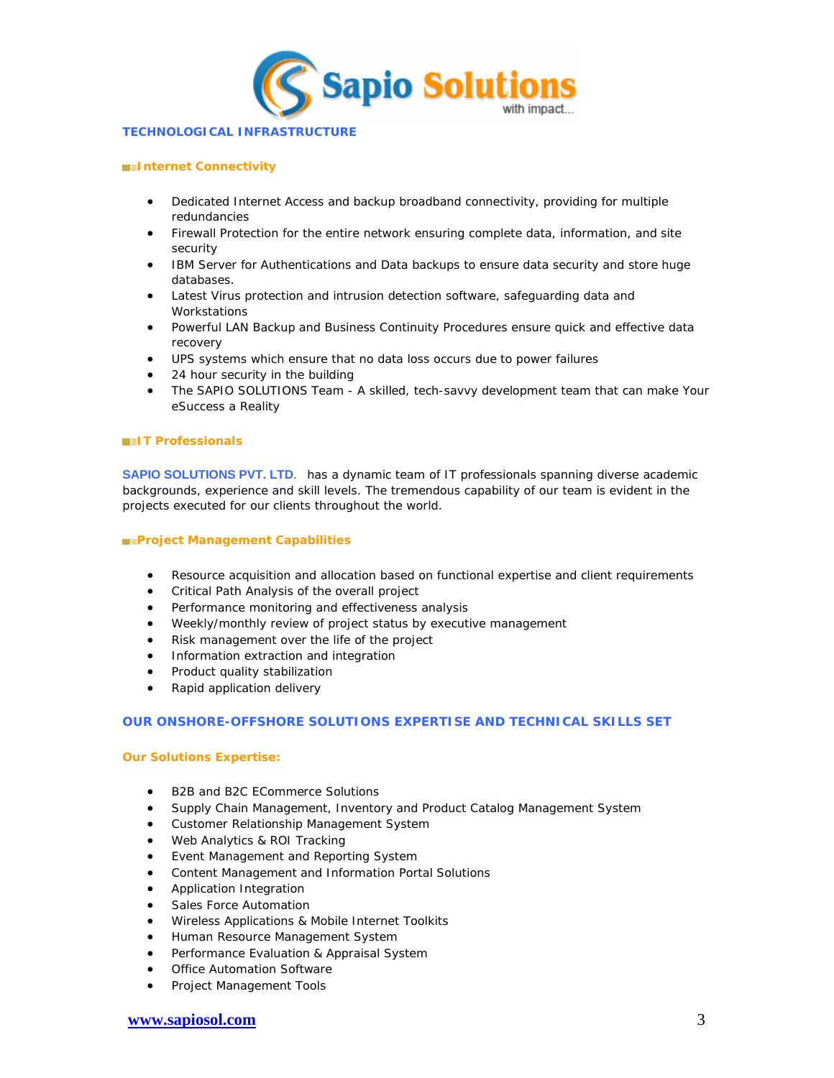

#### **TECHNOLOGICAL INFRASTRUCTURE**

#### **Internet Connectivity**

- Dedicated Internet Access and backup broadband connectivity, providing for multiple redundancies
- Firewall Protection for the entire network ensuring complete data, information, and site security
- IBM Server for Authentications and Data backups to ensure data security and store huge databases.
- Latest Virus protection and intrusion detection software, safeguarding data and Workstations
- Powerful LAN Backup and Business Continuity Procedures ensure quick and effective data recovery
- UPS systems which ensure that no data loss occurs due to power failures
- 24 hour security in the building
- The SAPIO SOLUTIONS Team A skilled, tech-savvy development team that can make Your eSuccess a Reality

### **IT Professionals**

**SAPIO SOLUTIONS PVT. LTD.** has a dynamic team of IT professionals spanning diverse academic backgrounds, experience and skill levels. The tremendous capability of our team is evident in the projects executed for our clients throughout the world.

#### **Project Management Capabilities**

- Resource acquisition and allocation based on functional expertise and client requirements
- Critical Path Analysis of the overall project
- Performance monitoring and effectiveness analysis
- Weekly/monthly review of project status by executive management
- Risk management over the life of the project
- **•** Information extraction and integration
- Product quality stabilization
- Rapid application delivery

# **OUR ONSHORE-OFFSHORE SOLUTIONS EXPERTISE AND TECHNICAL SKILLS SET**

### **Our Solutions Expertise:**

- B2B and B2C ECommerce Solutions
- Supply Chain Management, Inventory and Product Catalog Management System
- Customer Relationship Management System
- Web Analytics & ROI Tracking
- Event Management and Reporting System
- Content Management and Information Portal Solutions
- **•** Application Integration
- Sales Force Automation
- Wireless Applications & Mobile Internet Toolkits
- **Human Resource Management System**
- **•** Performance Evaluation & Appraisal System
- Office Automation Software
- Project Management Tools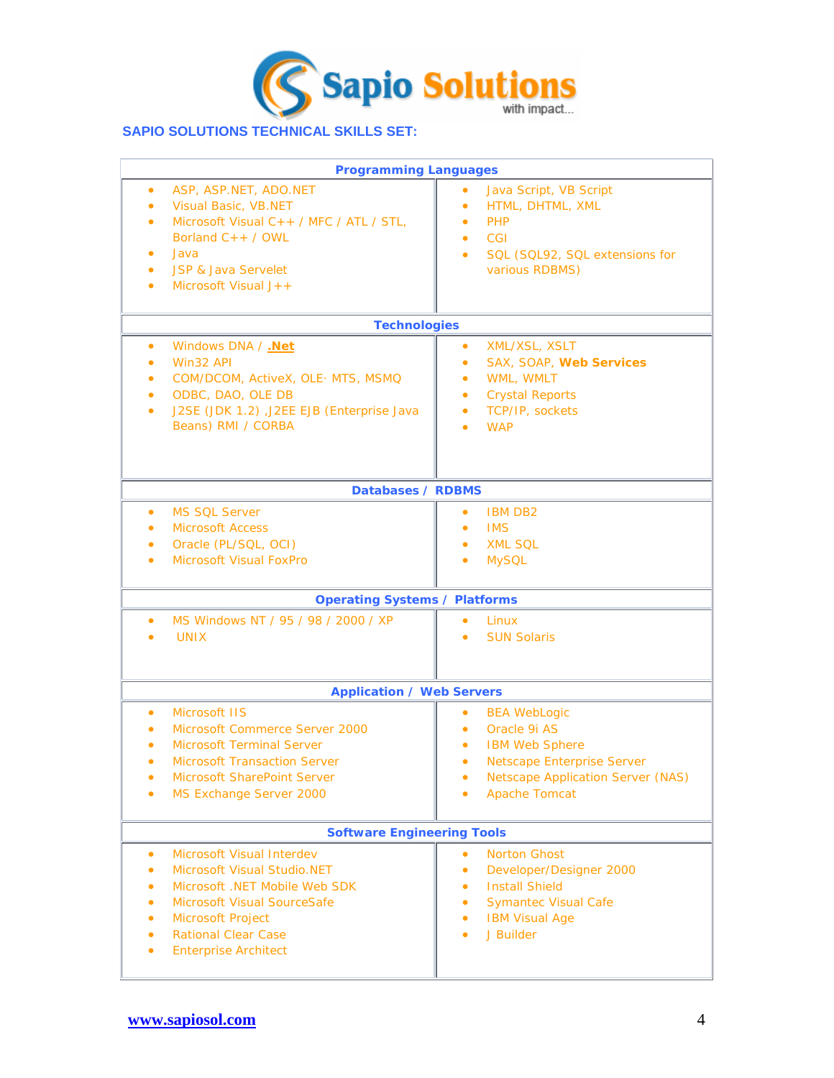

# **SAPIO SOLUTIONS TECHNICAL SKILLS SET:**

| <b>Programming Languages</b>                                                                                                                                                                                                          |                                                                                                                                                                                                   |
|---------------------------------------------------------------------------------------------------------------------------------------------------------------------------------------------------------------------------------------|---------------------------------------------------------------------------------------------------------------------------------------------------------------------------------------------------|
| ASP, ASP.NET, ADO.NET<br>Visual Basic, VB.NET<br>Microsoft Visual C++ / MFC / ATL / STL,<br>Borland $C++$ / OWL<br>Java<br><b>JSP &amp; Java Servelet</b><br>Microsoft Visual $J++$                                                   | Java Script, VB Script<br>HTML, DHTML, XML<br>$\bullet$<br><b>PHP</b><br>۰<br>CGI<br>۰<br>SQL (SQL92, SQL extensions for<br>$\bullet$<br>various RDBMS)                                           |
| Technologies                                                                                                                                                                                                                          |                                                                                                                                                                                                   |
| Windows DNA / .Net<br>$\bullet$<br>Win32 API<br>COM/DCOM, ActiveX, OLE- MTS, MSMQ<br>ODBC, DAO, OLE DB<br>J2SE (JDK 1.2) ,J2EE EJB (Enterprise Java<br>Beans) RMI / CORBA                                                             | XML/XSL, XSLT<br>$\bullet$<br>SAX, SOAP, Web Services<br>$\bullet$<br>WML, WMLT<br>$\bullet$<br><b>Crystal Reports</b><br>$\bullet$<br>TCP/IP, sockets<br>$\bullet$<br><b>WAP</b>                 |
| Databases / RDBMS                                                                                                                                                                                                                     |                                                                                                                                                                                                   |
| <b>MS SOL Server</b><br>$\bullet$<br><b>Microsoft Access</b><br>Oracle (PL/SQL, OCI)<br>$\bullet$<br><b>Microsoft Visual FoxPro</b><br>$\bullet$                                                                                      | <b>IBM DB2</b><br>۰<br><b>IMS</b><br>$\bullet$<br><b>XML SQL</b><br>$\bullet$<br><b>MySQL</b><br>۰                                                                                                |
| <b>Operating Systems / Platforms</b>                                                                                                                                                                                                  |                                                                                                                                                                                                   |
| MS Windows NT / 95 / 98 / 2000 / XP<br><b>UNIX</b>                                                                                                                                                                                    | Linux<br>۰<br><b>SUN Solaris</b>                                                                                                                                                                  |
| <b>Application / Web Servers</b>                                                                                                                                                                                                      |                                                                                                                                                                                                   |
| Microsoft IIS<br>Microsoft Commerce Server 2000<br><b>Microsoft Terminal Server</b><br><b>Microsoft Transaction Server</b><br>Microsoft SharePoint Server<br>MS Exchange Server 2000                                                  | <b>BEA WebLogic</b><br>۰<br>Oracle 9i AS<br>۰<br><b>IBM Web Sphere</b><br>۰<br><b>Netscape Enterprise Server</b><br>$\bullet$<br><b>Netscape Application Server (NAS)</b><br><b>Apache Tomcat</b> |
| <b>Software Engineering Tools</b>                                                                                                                                                                                                     |                                                                                                                                                                                                   |
| Microsoft Visual Interdev<br>$\bullet$<br>Microsoft Visual Studio, NET<br>$\bullet$<br>Microsoft .NET Mobile Web SDK<br>Microsoft Visual SourceSafe<br>Microsoft Project<br><b>Rational Clear Case</b><br><b>Enterprise Architect</b> | <b>Norton Ghost</b><br>۰<br>Developer/Designer 2000<br>۰<br><b>Install Shield</b><br>۰<br><b>Symantec Visual Cafe</b><br>۰<br><b>IBM Visual Age</b><br>۰<br>J Builder<br>٠                        |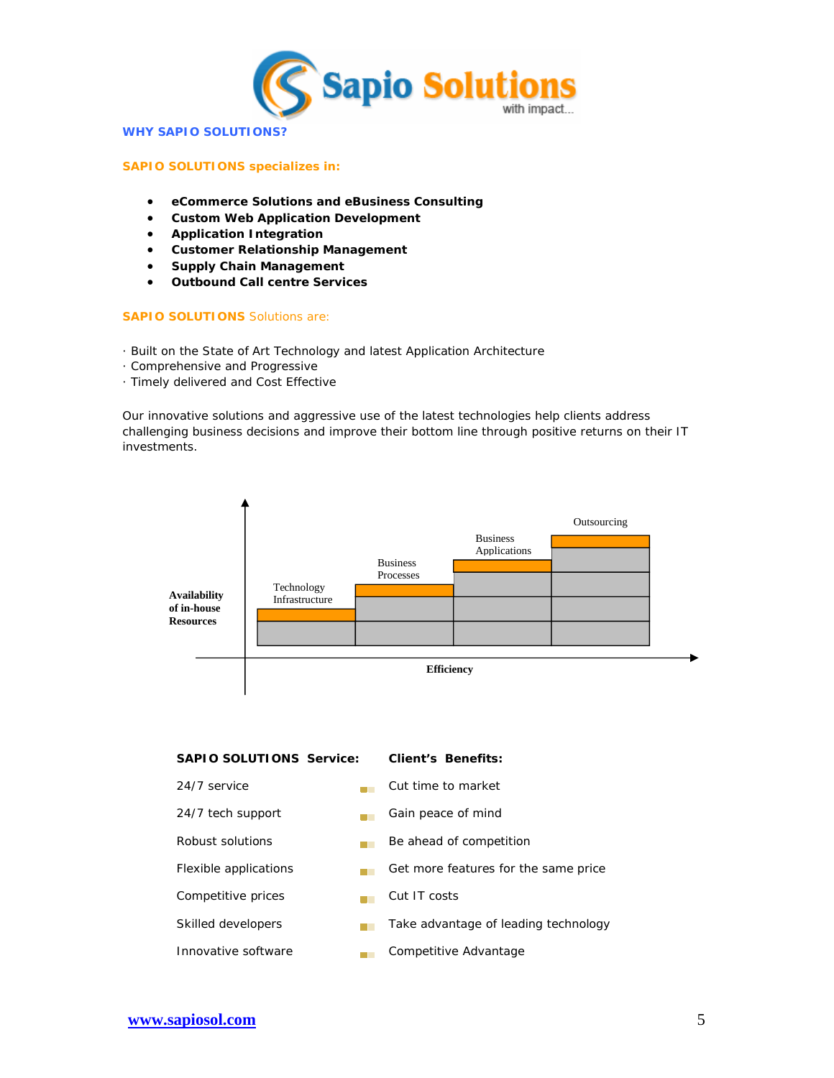

#### **WHY SAPIO SOLUTIONS?**

### **SAPIO SOLUTIONS specializes in:**

- **eCommerce Solutions and eBusiness Consulting**
- **Custom Web Application Development**
- **Application Integration**
- **Customer Relationship Management**
- **Supply Chain Management**
- **Outbound Call centre Services**

### **SAPIO SOLUTIONS** Solutions are:

- · Built on the State of Art Technology and latest Application Architecture
- · Comprehensive and Progressive
- · Timely delivered and Cost Effective

Our innovative solutions and aggressive use of the latest technologies help clients address challenging business decisions and improve their bottom line through positive returns on their IT investments.



Innovative software **Competitive Advantage**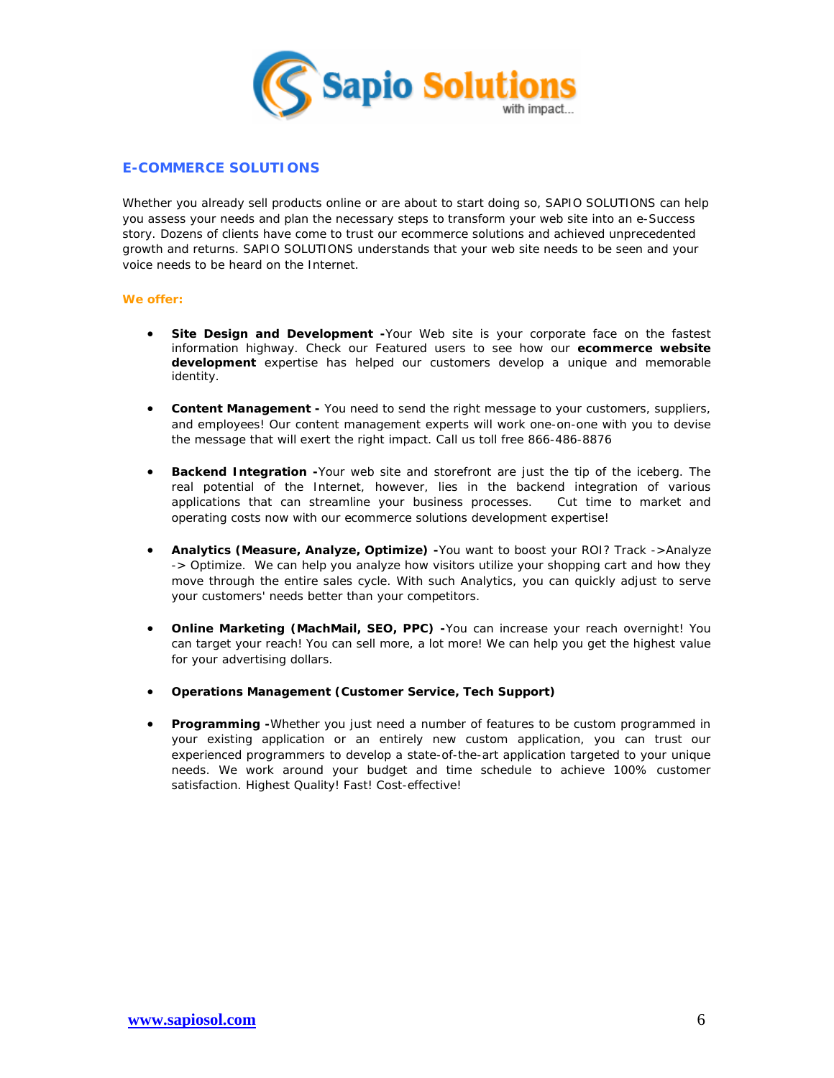

# **E-COMMERCE SOLUTIONS**

Whether you already sell products online or are about to start doing so, SAPIO SOLUTIONS can help you assess your needs and plan the necessary steps to transform your web site into an e-Success story. Dozens of clients have come to trust our ecommerce solutions and achieved unprecedented growth and returns. SAPIO SOLUTIONS understands that your web site needs to be seen and your voice needs to be heard on the Internet.

### **We offer:**

- **Site Design and Development -**Your Web site is your corporate face on the fastest information highway. Check our Featured users to see how our **ecommerce website development** expertise has helped our customers develop a unique and memorable identity.
- **Content Management -** You need to send the right message to your customers, suppliers, and employees! Our content management experts will work one-on-one with you to devise the message that will exert the right impact. Call us toll free 866-486-8876
- **Backend Integration -**Your web site and storefront are just the tip of the iceberg. The real potential of the Internet, however, lies in the backend integration of various applications that can streamline your business processes. Cut time to market and operating costs now with our ecommerce solutions development expertise!
- **Analytics (Measure, Analyze, Optimize) -**You want to boost your ROI? Track ->Analyze -> Optimize. We can help you analyze how visitors utilize your shopping cart and how they move through the entire sales cycle. With such Analytics, you can quickly adjust to serve your customers' needs better than your competitors.
- **Online Marketing (MachMail, SEO, PPC) -**You can increase your reach overnight! You can target your reach! You can sell more, a lot more! We can help you get the highest value for your advertising dollars.
- **Operations Management (Customer Service, Tech Support)**
- **Programming -**Whether you just need a number of features to be custom programmed in your existing application or an entirely new custom application, you can trust our experienced programmers to develop a state-of-the-art application targeted to your unique needs. We work around your budget and time schedule to achieve 100% customer satisfaction. Highest Quality! Fast! Cost-effective!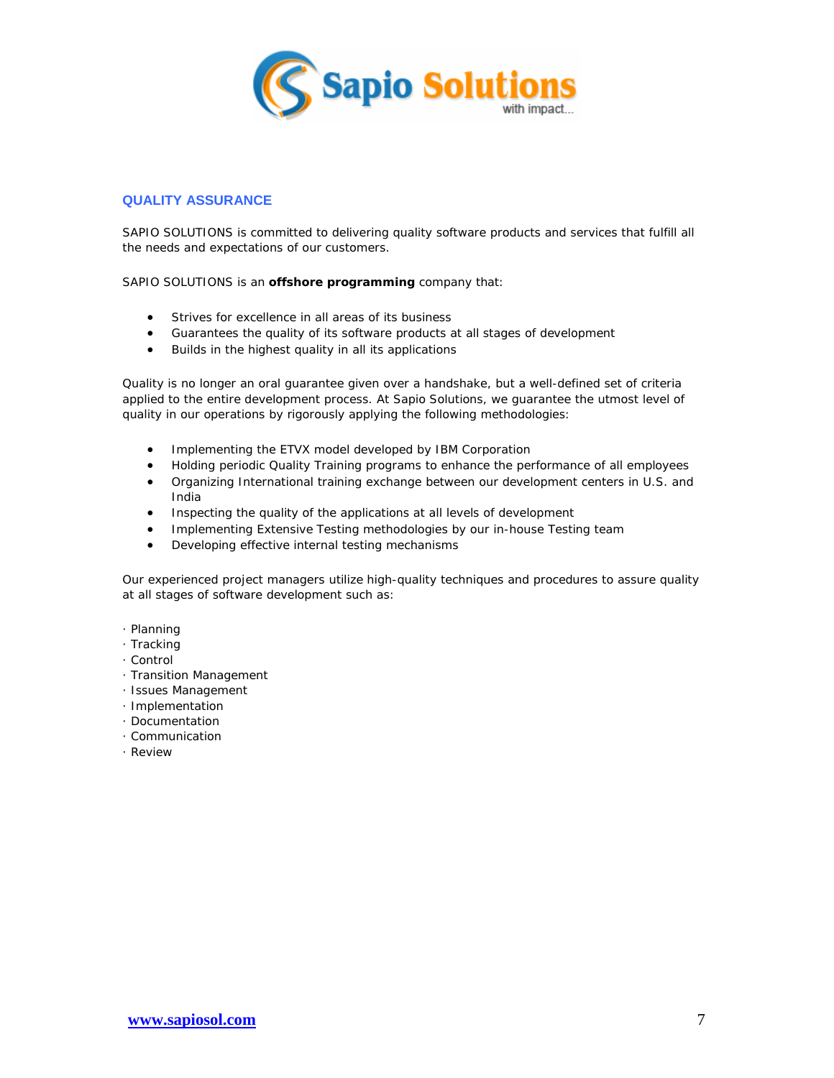

# **QUALITY ASSURANCE**

SAPIO SOLUTIONS is committed to delivering quality software products and services that fulfill all the needs and expectations of our customers.

SAPIO SOLUTIONS is an **offshore programming** company that:

- Strives for excellence in all areas of its business
- Guarantees the quality of its software products at all stages of development
- Builds in the highest quality in all its applications

Quality is no longer an oral guarantee given over a handshake, but a well-defined set of criteria applied to the entire development process. At Sapio Solutions, we guarantee the utmost level of quality in our operations by rigorously applying the following methodologies:

- Implementing the ETVX model developed by IBM Corporation
- Holding periodic Quality Training programs to enhance the performance of all employees
- Organizing International training exchange between our development centers in U.S. and India
- Inspecting the quality of the applications at all levels of development
- Implementing Extensive Testing methodologies by our in-house Testing team
- Developing effective internal testing mechanisms

Our experienced project managers utilize high-quality techniques and procedures to assure quality at all stages of software development such as:

- · Planning
- · Tracking
- · Control
- · Transition Management
- · Issues Management
- · Implementation
- · Documentation
- · Communication
- · Review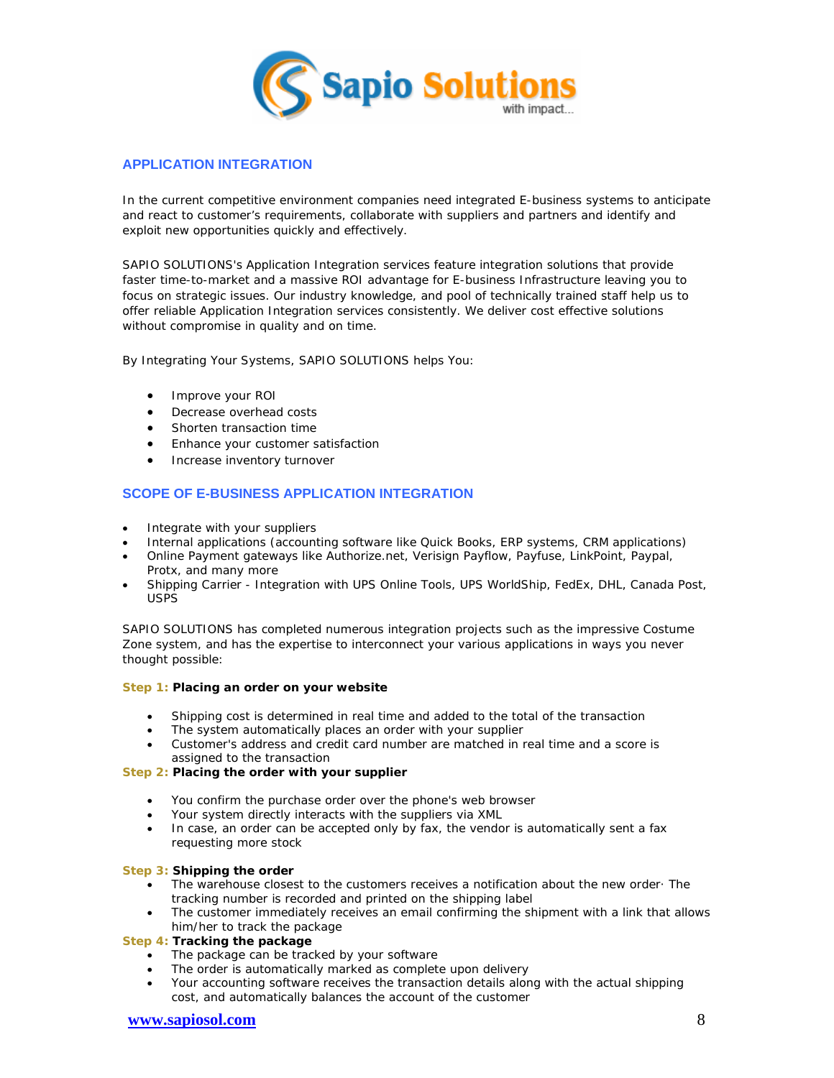

# **APPLICATION INTEGRATION**

In the current competitive environment companies need integrated E-business systems to anticipate and react to customer's requirements, collaborate with suppliers and partners and identify and exploit new opportunities quickly and effectively.

SAPIO SOLUTIONS's Application Integration services feature integration solutions that provide faster time-to-market and a massive ROI advantage for E-business Infrastructure leaving you to focus on strategic issues. Our industry knowledge, and pool of technically trained staff help us to offer reliable Application Integration services consistently. We deliver cost effective solutions without compromise in quality and on time.

By Integrating Your Systems, SAPIO SOLUTIONS helps You:

- Improve your ROI
- Decrease overhead costs
- Shorten transaction time
- Enhance your customer satisfaction
- Increase inventory turnover

# **SCOPE OF E-BUSINESS APPLICATION INTEGRATION**

- Integrate with your suppliers
- Internal applications (accounting software like Quick Books, ERP systems, CRM applications)
- Online Payment gateways like Authorize.net, Verisign Payflow, Payfuse, LinkPoint, Paypal, Protx, and many more
- Shipping Carrier Integration with UPS Online Tools, UPS WorldShip, FedEx, DHL, Canada Post, USPS

SAPIO SOLUTIONS has completed numerous integration projects such as the impressive Costume Zone system, and has the expertise to interconnect your various applications in ways you never thought possible:

**Step 1: Placing an order on your website**

- Shipping cost is determined in real time and added to the total of the transaction
- The system automatically places an order with your supplier
- Customer's address and credit card number are matched in real time and a score is assigned to the transaction

**Step 2: Placing the order with your supplier**

- You confirm the purchase order over the phone's web browser
- Your system directly interacts with the suppliers via XML
- In case, an order can be accepted only by fax, the vendor is automatically sent a fax requesting more stock

**Step 3: Shipping the order**

- The warehouse closest to the customers receives a notification about the new order· The tracking number is recorded and printed on the shipping label
- The customer immediately receives an email confirming the shipment with a link that allows him/her to track the package

**Step 4: Tracking the package**

- The package can be tracked by your software
- The order is automatically marked as complete upon delivery
- Your accounting software receives the transaction details along with the actual shipping cost, and automatically balances the account of the customer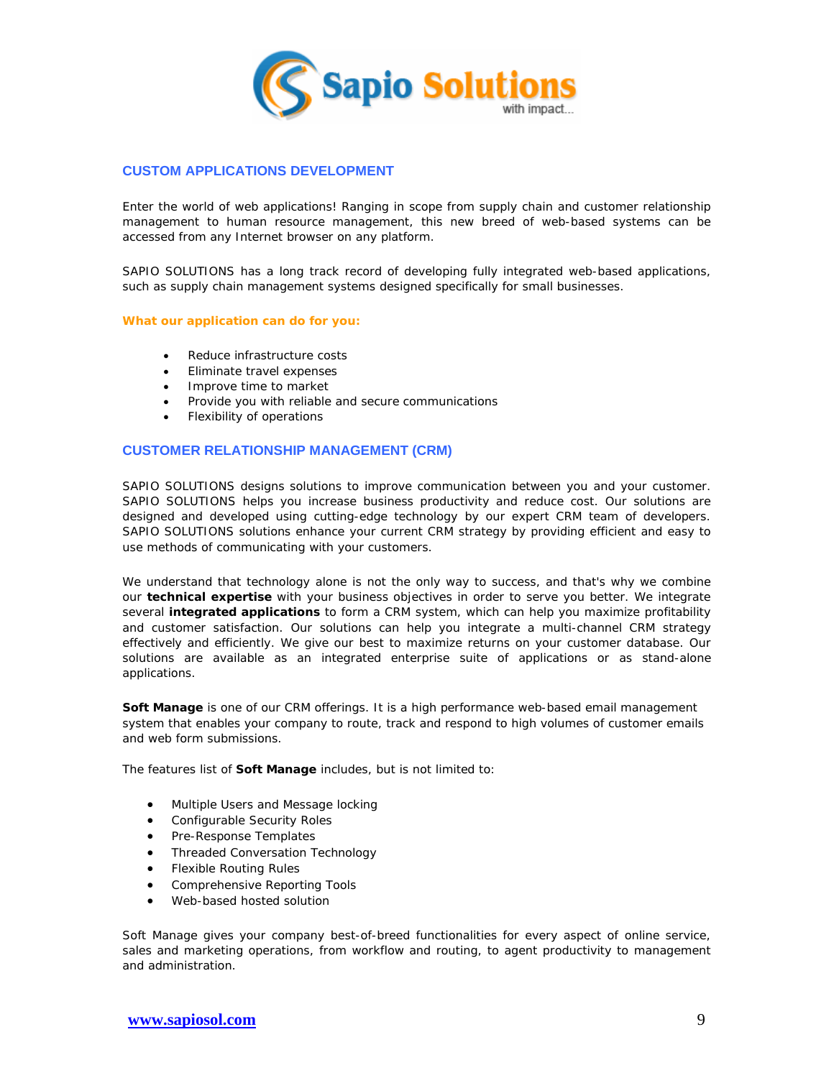

# **CUSTOM APPLICATIONS DEVELOPMENT**

Enter the world of web applications! Ranging in scope from supply chain and customer relationship management to human resource management, this new breed of web-based systems can be accessed from any Internet browser on any platform.

SAPIO SOLUTIONS has a long track record of developing fully integrated web-based applications, such as supply chain management systems designed specifically for small businesses.

### **What our application can do for you:**

- Reduce infrastructure costs
- Eliminate travel expenses
- Improve time to market
- Provide you with reliable and secure communications
- Flexibility of operations

## **CUSTOMER RELATIONSHIP MANAGEMENT (CRM)**

SAPIO SOLUTIONS designs solutions to improve communication between you and your customer. SAPIO SOLUTIONS helps you increase business productivity and reduce cost. Our solutions are designed and developed using cutting-edge technology by our expert CRM team of developers. SAPIO SOLUTIONS solutions enhance your current CRM strategy by providing efficient and easy to use methods of communicating with your customers.

We understand that technology alone is not the only way to success, and that's why we combine our **technical expertise** with your business objectives in order to serve you better. We integrate several **integrated applications** to form a CRM system, which can help you maximize profitability and customer satisfaction. Our solutions can help you integrate a multi-channel CRM strategy effectively and efficiently. We give our best to maximize returns on your customer database. Our solutions are available as an integrated enterprise suite of applications or as stand-alone applications.

**Soft Manage** is one of our CRM offerings. It is a high performance web-based email management system that enables your company to route, track and respond to high volumes of customer emails and web form submissions.

The features list of **Soft Manage** includes, but is not limited to:

- Multiple Users and Message locking
- Configurable Security Roles
- Pre-Response Templates
- Threaded Conversation Technology
- **•** Flexible Routing Rules
- **•** Comprehensive Reporting Tools
- Web-based hosted solution

Soft Manage gives your company best-of-breed functionalities for every aspect of online service, sales and marketing operations, from workflow and routing, to agent productivity to management and administration.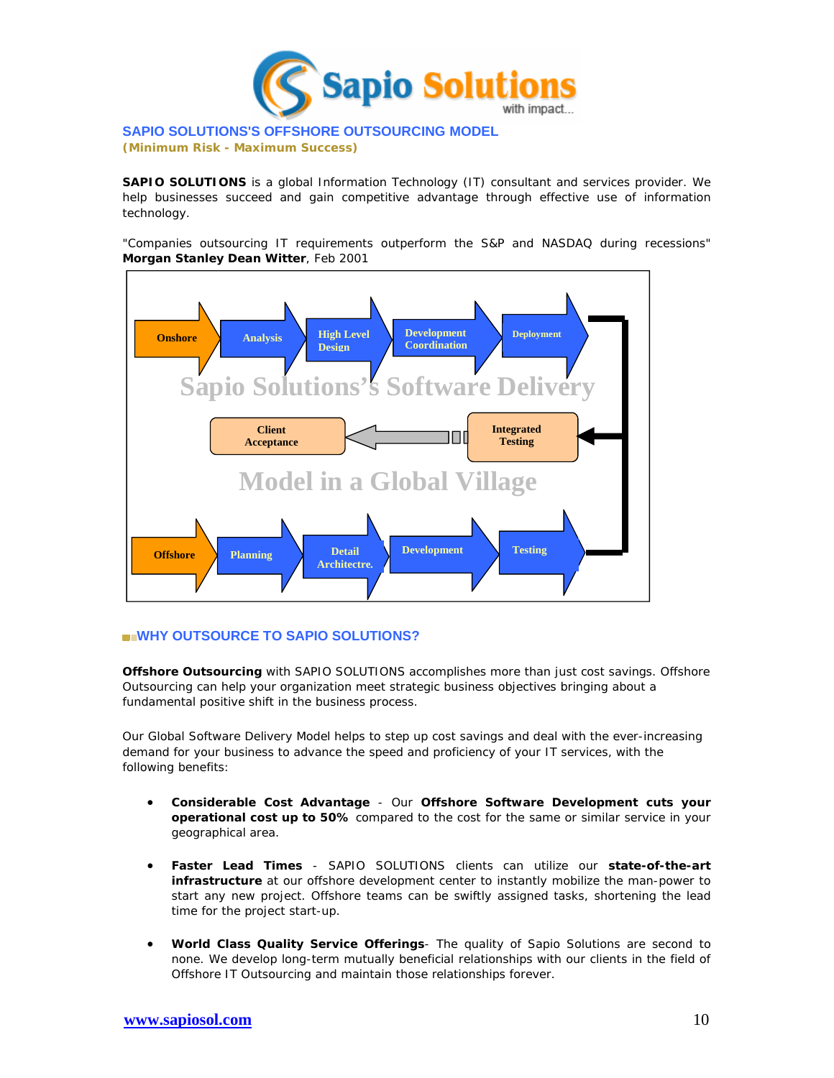

# **SAPIO SOLUTIONS'S OFFSHORE OUTSOURCING MODEL**

**(Minimum Risk - Maximum Success)**

**SAPIO SOLUTIONS** is a global Information Technology (IT) consultant and services provider. We help businesses succeed and gain competitive advantage through effective use of information technology.

"Companies outsourcing IT requirements outperform the S&P and NASDAQ during recessions" **Morgan Stanley Dean Witter**, Feb 2001



# **WHY OUTSOURCE TO SAPIO SOLUTIONS?**

**Offshore Outsourcing** with SAPIO SOLUTIONS accomplishes more than just cost savings. Offshore Outsourcing can help your organization meet strategic business objectives bringing about a fundamental positive shift in the business process.

Our Global Software Delivery Model helps to step up cost savings and deal with the ever-increasing demand for your business to advance the speed and proficiency of your IT services, with the following benefits:

- **Considerable Cost Advantage** Our **Offshore Software Development cuts your operational cost up to 50%** compared to the cost for the same or similar service in your geographical area.
- **Faster Lead Times** SAPIO SOLUTIONS clients can utilize our **state-of-the-art infrastructure** at our offshore development center to instantly mobilize the man-power to start any new project. Offshore teams can be swiftly assigned tasks, shortening the lead time for the project start-up.
- **World Class Quality Service Offerings** The quality of Sapio Solutions are second to none. We develop long-term mutually beneficial relationships with our clients in the field of Offshore IT Outsourcing and maintain those relationships forever.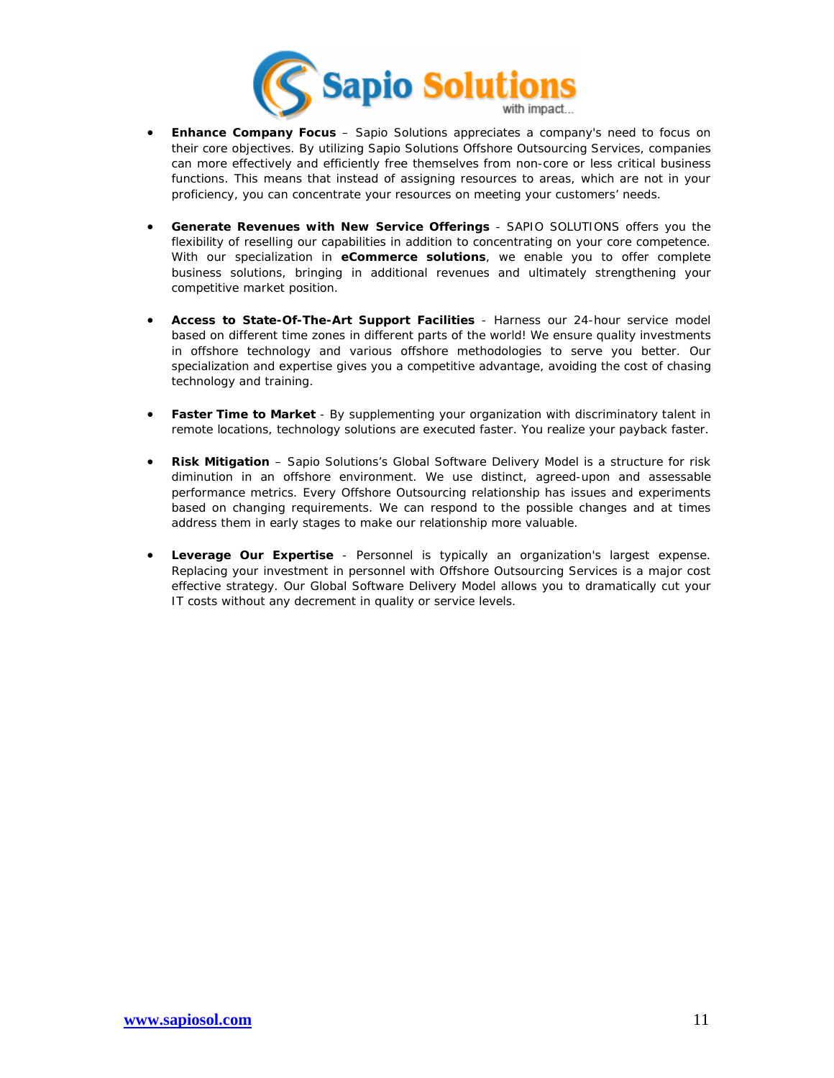

- **Enhance Company Focus** Sapio Solutions appreciates a company's need to focus on their core objectives. By utilizing Sapio Solutions Offshore Outsourcing Services, companies can more effectively and efficiently free themselves from non-core or less critical business functions. This means that instead of assigning resources to areas, which are not in your proficiency, you can concentrate your resources on meeting your customers' needs.
- **Generate Revenues with New Service Offerings** SAPIO SOLUTIONS offers you the flexibility of reselling our capabilities in addition to concentrating on your core competence. With our specialization in **eCommerce solutions**, we enable you to offer complete business solutions, bringing in additional revenues and ultimately strengthening your competitive market position.
- **Access to State-Of-The-Art Support Facilities** Harness our 24-hour service model based on different time zones in different parts of the world! We ensure quality investments in offshore technology and various offshore methodologies to serve you better. Our specialization and expertise gives you a competitive advantage, avoiding the cost of chasing technology and training.
- **Faster Time to Market** By supplementing your organization with discriminatory talent in remote locations, technology solutions are executed faster. You realize your payback faster.
- **Risk Mitigation** Sapio Solutions's Global Software Delivery Model is a structure for risk diminution in an offshore environment. We use distinct, agreed-upon and assessable performance metrics. Every Offshore Outsourcing relationship has issues and experiments based on changing requirements. We can respond to the possible changes and at times address them in early stages to make our relationship more valuable.
- **Leverage Our Expertise** Personnel is typically an organization's largest expense. Replacing your investment in personnel with Offshore Outsourcing Services is a major cost effective strategy. Our Global Software Delivery Model allows you to dramatically cut your IT costs without any decrement in quality or service levels.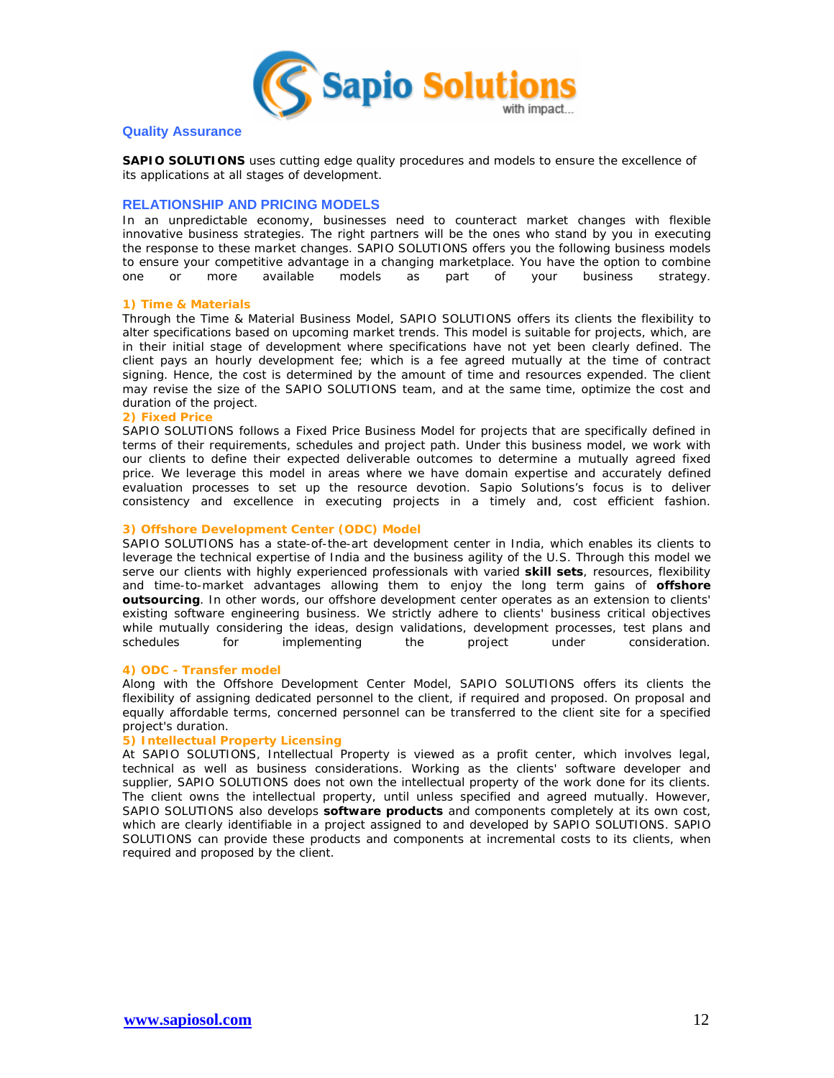

# **Quality Assurance**

**SAPIO SOLUTIONS** uses cutting edge quality procedures and models to ensure the excellence of its applications at all stages of development.

# **RELATIONSHIP AND PRICING MODELS**

In an unpredictable economy, businesses need to counteract market changes with flexible innovative business strategies. The right partners will be the ones who stand by you in executing the response to these market changes. SAPIO SOLUTIONS offers you the following business models to ensure your competitive advantage in a changing marketplace. You have the option to combine one or more available models as part of your business strategy.

### **1) Time & Materials**

Through the Time & Material Business Model, SAPIO SOLUTIONS offers its clients the flexibility to alter specifications based on upcoming market trends. This model is suitable for projects, which, are in their initial stage of development where specifications have not yet been clearly defined. The client pays an hourly development fee; which is a fee agreed mutually at the time of contract signing. Hence, the cost is determined by the amount of time and resources expended. The client may revise the size of the SAPIO SOLUTIONS team, and at the same time, optimize the cost and duration of the project.

### **2) Fixed Price**

SAPIO SOLUTIONS follows a Fixed Price Business Model for projects that are specifically defined in terms of their requirements, schedules and project path. Under this business model, we work with our clients to define their expected deliverable outcomes to determine a mutually agreed fixed price. We leverage this model in areas where we have domain expertise and accurately defined evaluation processes to set up the resource devotion. Sapio Solutions's focus is to deliver consistency and excellence in executing projects in a timely and, cost efficient fashion.

### **3) Offshore Development Center (ODC) Model**

SAPIO SOLUTIONS has a state-of-the-art development center in India, which enables its clients to leverage the technical expertise of India and the business agility of the U.S. Through this model we serve our clients with highly experienced professionals with varied **skill sets**, resources, flexibility and time-to-market advantages allowing them to enjoy the long term gains of **offshore outsourcing**. In other words, our offshore development center operates as an extension to clients' existing software engineering business. We strictly adhere to clients' business critical objectives while mutually considering the ideas, design validations, development processes, test plans and schedules for implementing the project under consideration.

#### **4) ODC - Transfer model**

Along with the Offshore Development Center Model, SAPIO SOLUTIONS offers its clients the flexibility of assigning dedicated personnel to the client, if required and proposed. On proposal and equally affordable terms, concerned personnel can be transferred to the client site for a specified project's duration.

# **5) Intellectual Property Licensing**

At SAPIO SOLUTIONS, Intellectual Property is viewed as a profit center, which involves legal, technical as well as business considerations. Working as the clients' software developer and supplier, SAPIO SOLUTIONS does not own the intellectual property of the work done for its clients. The client owns the intellectual property, until unless specified and agreed mutually. However, SAPIO SOLUTIONS also develops **software products** and components completely at its own cost, which are clearly identifiable in a project assigned to and developed by SAPIO SOLUTIONS. SAPIO SOLUTIONS can provide these products and components at incremental costs to its clients, when required and proposed by the client.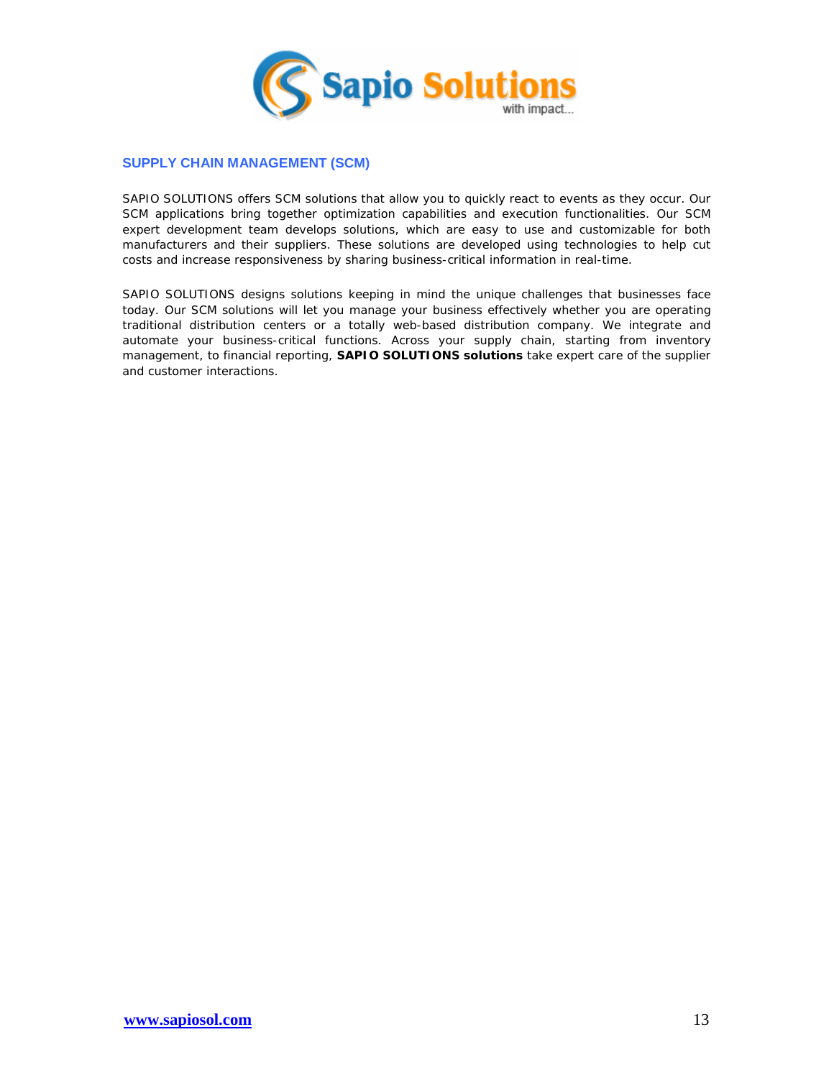

# **SUPPLY CHAIN MANAGEMENT (SCM)**

SAPIO SOLUTIONS offers SCM solutions that allow you to quickly react to events as they occur. Our SCM applications bring together optimization capabilities and execution functionalities. Our SCM expert development team develops solutions, which are easy to use and customizable for both manufacturers and their suppliers. These solutions are developed using technologies to help cut costs and increase responsiveness by sharing business-critical information in real-time.

SAPIO SOLUTIONS designs solutions keeping in mind the unique challenges that businesses face today. Our SCM solutions will let you manage your business effectively whether you are operating traditional distribution centers or a totally web-based distribution company. We integrate and automate your business-critical functions. Across your supply chain, starting from inventory management, to financial reporting, **SAPIO SOLUTIONS solutions** take expert care of the supplier and customer interactions.